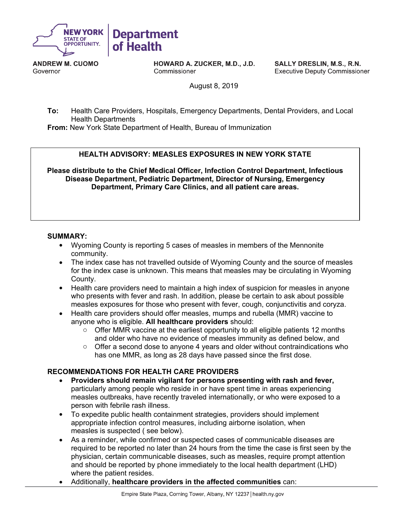

**ANDREW M. CUOMO** Governor

**HOWARD A. ZUCKER, M.D., J.D.** Commissioner

SALLY DRESLIN, M.S., R.N. **Executive Deputy Commissioner** 

August 8, 2019

**To:** Health Care Providers, Hospitals, Emergency Departments, Dental Providers, and Local Health Departments

**From:** New York State Department of Health, Bureau of Immunization

# **HEALTH ADVISORY: MEASLES EXPOSURES IN NEW YORK STATE**

**Please distribute to the Chief Medical Officer, Infection Control Department, Infectious Disease Department, Pediatric Department, Director of Nursing, Emergency Department, Primary Care Clinics, and all patient care areas.**

### **SUMMARY:**

- Wyoming County is reporting 5 cases of measles in members of the Mennonite community.
- The index case has not travelled outside of Wyoming County and the source of measles for the index case is unknown. This means that measles may be circulating in Wyoming County.
- Health care providers need to maintain a high index of suspicion for measles in anyone who presents with fever and rash. In addition, please be certain to ask about possible measles exposures for those who present with fever, cough, conjunctivitis and coryza.
- Health care providers should offer measles, mumps and rubella (MMR) vaccine to anyone who is eligible. **All healthcare providers** should:
	- $\circ$  Offer MMR vaccine at the earliest opportunity to all eligible patients 12 months and older who have no evidence of measles immunity as defined below, and
	- $\circ$  Offer a second dose to anyone 4 years and older without contraindications who has one MMR, as long as 28 days have passed since the first dose.

# **RECOMMENDATIONS FOR HEALTH CARE PROVIDERS**

- **Providers should remain vigilant for persons presenting with rash and fever,**  particularly among people who reside in or have spent time in areas experiencing measles outbreaks, have recently traveled internationally, or who were exposed to a person with febrile rash illness.
- To expedite public health containment strategies, providers should implement appropriate infection control measures, including airborne isolation, when measles is suspected ( see below).
- As a reminder, while confirmed or suspected cases of communicable diseases are required to be reported no later than 24 hours from the time the case is first seen by the physician, certain communicable diseases, such as measles, require prompt attention and should be reported by phone immediately to the local health department (LHD) where the patient resides.
- Additionally, **healthcare providers in the affected communities** can: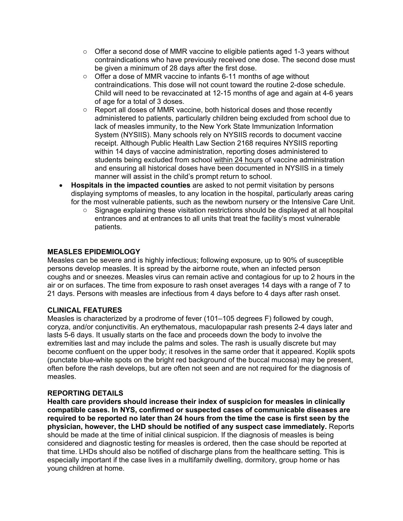- $\circ$  Offer a second dose of MMR vaccine to eligible patients aged 1-3 years without contraindications who have previously received one dose. The second dose must be given a minimum of 28 days after the first dose.
- o Offer a dose of MMR vaccine to infants 6-11 months of age without contraindications. This dose will not count toward the routine 2-dose schedule. Child will need to be revaccinated at 12-15 months of age and again at 4-6 years of age for a total of 3 doses.
- $\circ$  Report all doses of MMR vaccine, both historical doses and those recently administered to patients, particularly children being excluded from school due to lack of measles immunity, to the New York State Immunization Information System (NYSIIS). Many schools rely on NYSIIS records to document vaccine receipt. Although Public Health Law Section 2168 requires NYSIIS reporting within 14 days of vaccine administration, reporting doses administered to students being excluded from school within 24 hours of vaccine administration and ensuring all historical doses have been documented in NYSIIS in a timely manner will assist in the child's prompt return to school.
- **Hospitals in the impacted counties** are asked to not permit visitation by persons displaying symptoms of measles, to any location in the hospital, particularly areas caring for the most vulnerable patients, such as the newborn nursery or the Intensive Care Unit.
	- $\circ$  Signage explaining these visitation restrictions should be displayed at all hospital entrances and at entrances to all units that treat the facility's most vulnerable patients.

# **MEASLES EPIDEMIOLOGY**

Measles can be severe and is highly infectious; following exposure, up to 90% of susceptible persons develop measles. It is spread by the airborne route, when an infected person coughs and or sneezes. Measles virus can remain active and contagious for up to 2 hours in the air or on surfaces. The time from exposure to rash onset averages 14 days with a range of 7 to 21 days. Persons with measles are infectious from 4 days before to 4 days after rash onset.

# **CLINICAL FEATURES**

Measles is characterized by a prodrome of fever (101–105 degrees F) followed by cough, coryza, and/or conjunctivitis. An erythematous, maculopapular rash presents 2-4 days later and lasts 5-6 days. It usually starts on the face and proceeds down the body to involve the extremities last and may include the palms and soles. The rash is usually discrete but may become confluent on the upper body; it resolves in the same order that it appeared. Koplik spots (punctate blue-white spots on the bright red background of the buccal mucosa) may be present, often before the rash develops, but are often not seen and are not required for the diagnosis of measles.

### **REPORTING DETAILS**

**Health care providers should increase their index of suspicion for measles in clinically compatible cases. In NYS, confirmed or suspected cases of communicable diseases are required to be reported no later than 24 hours from the time the case is first seen by the physician, however, the LHD should be notified of any suspect case immediately.** Reports should be made at the time of initial clinical suspicion. If the diagnosis of measles is being considered and diagnostic testing for measles is ordered, then the case should be reported at that time. LHDs should also be notified of discharge plans from the healthcare setting. This is especially important if the case lives in a multifamily dwelling, dormitory, group home or has young children at home.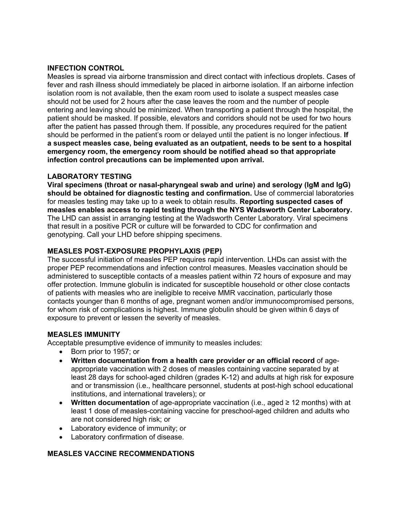# **INFECTION CONTROL**

Measles is spread via airborne transmission and direct contact with infectious droplets. Cases of fever and rash illness should immediately be placed in airborne isolation. If an airborne infection isolation room is not available, then the exam room used to isolate a suspect measles case should not be used for 2 hours after the case leaves the room and the number of people entering and leaving should be minimized. When transporting a patient through the hospital, the patient should be masked. If possible, elevators and corridors should not be used for two hours after the patient has passed through them. If possible, any procedures required for the patient should be performed in the patient's room or delayed until the patient is no longer infectious. **If a suspect measles case, being evaluated as an outpatient, needs to be sent to a hospital emergency room, the emergency room should be notified ahead so that appropriate infection control precautions can be implemented upon arrival.**

# **LABORATORY TESTING**

**Viral specimens (throat or nasal-pharyngeal swab and urine) and serology (IgM and IgG) should be obtained for diagnostic testing and confirmation.** Use of commercial laboratories for measles testing may take up to a week to obtain results. **Reporting suspected cases of measles enables access to rapid testing through the NYS Wadsworth Center Laboratory.**  The LHD can assist in arranging testing at the Wadsworth Center Laboratory. Viral specimens that result in a positive PCR or culture will be forwarded to CDC for confirmation and genotyping. Call your LHD before shipping specimens.

### **MEASLES POST-EXPOSURE PROPHYLAXIS (PEP)**

The successful initiation of measles PEP requires rapid intervention. LHDs can assist with the proper PEP recommendations and infection control measures. Measles vaccination should be administered to susceptible contacts of a measles patient within 72 hours of exposure and may offer protection. Immune globulin is indicated for susceptible household or other close contacts of patients with measles who are ineligible to receive MMR vaccination, particularly those contacts younger than 6 months of age, pregnant women and/or immunocompromised persons, for whom risk of complications is highest. Immune globulin should be given within 6 days of exposure to prevent or lessen the severity of measles.

### **MEASLES IMMUNITY**

Acceptable presumptive evidence of immunity to measles includes:

- Born prior to 1957; or
- **Written documentation from a health care provider or an official record** of ageappropriate vaccination with 2 doses of measles containing vaccine separated by at least 28 days for school-aged children (grades K-12) and adults at high risk for exposure and or transmission (i.e., healthcare personnel, students at post-high school educational institutions, and international travelers); or
- **Written documentation** of age-appropriate vaccination (i.e., aged ≥ 12 months) with at least 1 dose of measles-containing vaccine for preschool-aged children and adults who are not considered high risk; or
- Laboratory evidence of immunity; or
- Laboratory confirmation of disease.

### **MEASLES VACCINE RECOMMENDATIONS**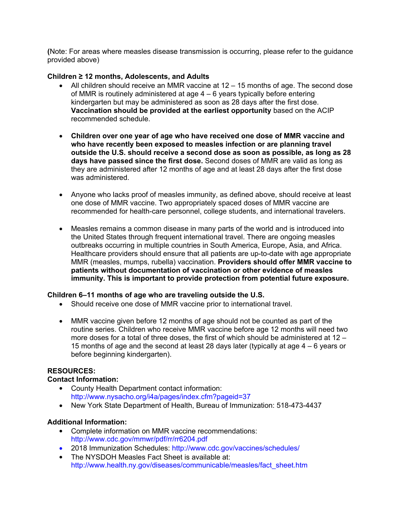**(**Note: For areas where measles disease transmission is occurring, please refer to the guidance provided above)

# **Children ≥ 12 months, Adolescents, and Adults**

- All children should receive an MMR vaccine at 12 15 months of age. The second dose of MMR is routinely administered at age 4 – 6 years typically before entering kindergarten but may be administered as soon as 28 days after the first dose. **Vaccination should be provided at the earliest opportunity** based on the ACIP recommended schedule.
- **Children over one year of age who have received one dose of MMR vaccine and who have recently been exposed to measles infection or are planning travel outside the U.S. should receive a second dose as soon as possible, as long as 28 days have passed since the first dose.** Second doses of MMR are valid as long as they are administered after 12 months of age and at least 28 days after the first dose was administered.
- Anyone who lacks proof of measles immunity, as defined above, should receive at least one dose of MMR vaccine. Two appropriately spaced doses of MMR vaccine are recommended for health-care personnel, college students, and international travelers.
- Measles remains a common disease in many parts of the world and is introduced into the United States through frequent international travel. There are ongoing measles outbreaks occurring in multiple countries in South America, Europe, Asia, and Africa. Healthcare providers should ensure that all patients are up-to-date with age appropriate MMR (measles, mumps, rubella) vaccination. **Providers should offer MMR vaccine to patients without documentation of vaccination or other evidence of measles immunity. This is important to provide protection from potential future exposure.**

# **Children 6–11 months of age who are traveling outside the U.S.**

- Should receive one dose of MMR vaccine prior to international travel.
- MMR vaccine given before 12 months of age should not be counted as part of the routine series. Children who receive MMR vaccine before age 12 months will need two more doses for a total of three doses, the first of which should be administered at 12 – 15 months of age and the second at least 28 days later (typically at age 4 – 6 years or before beginning kindergarten).

# **RESOURCES:**

# **Contact Information:**

- County Health Department contact information: http://www.nysacho.org/i4a/pages/index.cfm?pageid=37
- New York State Department of Health, Bureau of Immunization: 518-473-4437

# **Additional Information:**

- Complete information on MMR vaccine recommendations: http://www.cdc.gov/mmwr/pdf/rr/rr6204.pdf
- 2018 Immunization Schedules: http://www.cdc.gov/vaccines/schedules/
- The NYSDOH Measles Fact Sheet is available at: http://www.health.ny.gov/diseases/communicable/measles/fact\_sheet.htm